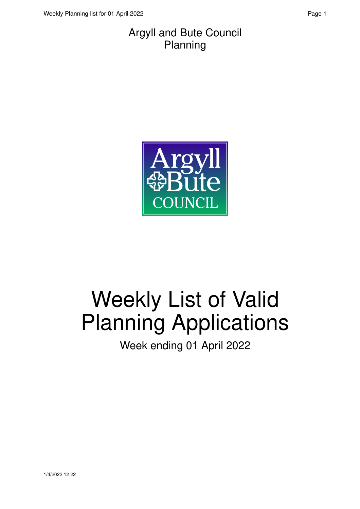#### Argyll and Bute Council Planning



# Weekly List of Valid Planning Applications

Week ending 01 April 2022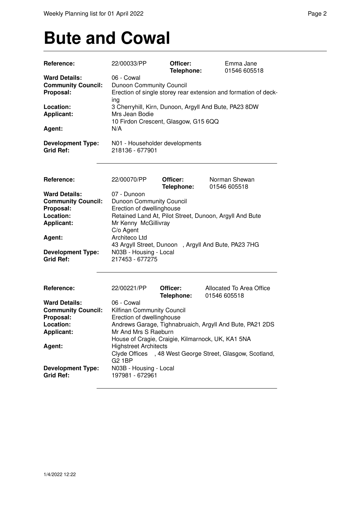### **Bute and Cowal**

| Reference:                                                                                                                                                 | 22/00033/PP                                                                                                                                                                                                                                                                                                                                                 | Officer:<br>Telephone: | Emma Jane<br>01546 605518                             |  |  |
|------------------------------------------------------------------------------------------------------------------------------------------------------------|-------------------------------------------------------------------------------------------------------------------------------------------------------------------------------------------------------------------------------------------------------------------------------------------------------------------------------------------------------------|------------------------|-------------------------------------------------------|--|--|
| <b>Ward Details:</b><br><b>Community Council:</b><br>Proposal:                                                                                             | 06 - Cowal<br>Dunoon Community Council<br>Erection of single storey rear extension and formation of deck-<br>ing                                                                                                                                                                                                                                            |                        |                                                       |  |  |
| Location:<br><b>Applicant:</b><br>Agent:                                                                                                                   | Mrs Jean Bodie<br>10 Firdon Crescent, Glasgow, G15 6QQ                                                                                                                                                                                                                                                                                                      |                        | 3 Cherryhill, Kirn, Dunoon, Argyll And Bute, PA23 8DW |  |  |
| <b>Development Type:</b><br><b>Grid Ref:</b>                                                                                                               | N/A<br>N01 - Householder developments<br>218136 - 677901                                                                                                                                                                                                                                                                                                    |                        |                                                       |  |  |
| Reference:                                                                                                                                                 | 22/00070/PP                                                                                                                                                                                                                                                                                                                                                 | Officer:<br>Telephone: | Norman Shewan<br>01546 605518                         |  |  |
| <b>Ward Details:</b><br><b>Community Council:</b><br>Proposal:<br>Location:<br><b>Applicant:</b><br>Agent:<br><b>Development Type:</b><br><b>Grid Ref:</b> | 07 - Dunoon<br>Dunoon Community Council<br>Erection of dwellinghouse<br>Retained Land At, Pilot Street, Dunoon, Argyll And Bute<br>Mr Kenny McGillivray<br>C/o Agent<br>Architeco Ltd<br>43 Argyll Street, Dunoon, Argyll And Bute, PA23 7HG<br>N03B - Housing - Local<br>217453 - 677275                                                                   |                        |                                                       |  |  |
| Reference:<br><b>Ward Details:</b>                                                                                                                         | 22/00221/PP<br>06 - Cowal                                                                                                                                                                                                                                                                                                                                   | Officer:<br>Telephone: | Allocated To Area Office<br>01546 605518              |  |  |
| <b>Community Council:</b><br>Proposal:<br>Location:<br><b>Applicant:</b>                                                                                   | Kilfinan Community Council<br>Erection of dwellinghouse<br>Andrews Garage, Tighnabruaich, Argyll And Bute, PA21 2DS<br>Mr And Mrs S Raeburn<br>House of Cragie, Craigie, Kilmarnock, UK, KA1 5NA<br><b>Highstreet Architects</b><br>Clyde Offices , 48 West George Street, Glasgow, Scotland,<br><b>G2 1BP</b><br>N03B - Housing - Local<br>197981 - 672961 |                        |                                                       |  |  |
| Agent:                                                                                                                                                     |                                                                                                                                                                                                                                                                                                                                                             |                        |                                                       |  |  |
| <b>Development Type:</b><br><b>Grid Ref:</b>                                                                                                               |                                                                                                                                                                                                                                                                                                                                                             |                        |                                                       |  |  |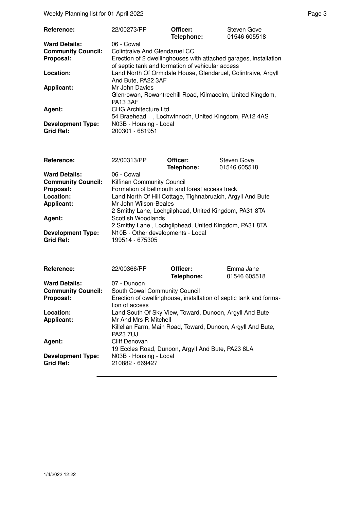Weekly Planning list for 01 April 2022 **Page 3** Page 3

| <b>Reference:</b>                            | 22/00273/PP                                                                                                          | Officer:<br>Telephone: | Steven Gove<br>01546 605518 |  |  |
|----------------------------------------------|----------------------------------------------------------------------------------------------------------------------|------------------------|-----------------------------|--|--|
| <b>Ward Details:</b>                         | 06 - Cowal                                                                                                           |                        |                             |  |  |
| <b>Community Council:</b>                    | Colintraive And Glendaruel CC                                                                                        |                        |                             |  |  |
| Proposal:                                    | Erection of 2 dwellinghouses with attached garages, installation<br>of septic tank and formation of vehicular access |                        |                             |  |  |
| Location:                                    | Land North Of Ormidale House, Glendaruel, Colintraive, Argyll<br>And Bute, PA22 3AF                                  |                        |                             |  |  |
| <b>Applicant:</b>                            | Mr John Davies<br>Glenrowan, Rowantreehill Road, Kilmacolm, United Kingdom,<br><b>PA13 3AF</b>                       |                        |                             |  |  |
| Agent:                                       | <b>CHG Architecture Ltd</b><br>54 Braehead, Lochwinnoch, United Kingdom, PA12 4AS                                    |                        |                             |  |  |
| <b>Development Type:</b><br><b>Grid Ref:</b> | N03B - Housing - Local<br>200301 - 681951                                                                            |                        |                             |  |  |

| Reference:                                   | 22/00313/PP                                                | Officer:<br>Telephone: | <b>Steven Gove</b><br>01546 605518 |  |
|----------------------------------------------|------------------------------------------------------------|------------------------|------------------------------------|--|
| <b>Ward Details:</b>                         | 06 - Cowal                                                 |                        |                                    |  |
| <b>Community Council:</b>                    | Kilfinan Community Council                                 |                        |                                    |  |
| Proposal:                                    | Formation of bellmouth and forest access track             |                        |                                    |  |
| Location:                                    | Land North Of Hill Cottage, Tighnabruaich, Argyll And Bute |                        |                                    |  |
| <b>Applicant:</b>                            | Mr John Wilson-Beales                                      |                        |                                    |  |
|                                              | 2 Smithy Lane, Lochgilphead, United Kingdom, PA31 8TA      |                        |                                    |  |
| Agent:                                       | Scottish Woodlands                                         |                        |                                    |  |
|                                              | 2 Smithy Lane, Lochgilphead, United Kingdom, PA31 8TA      |                        |                                    |  |
| <b>Development Type:</b><br><b>Grid Ref:</b> | N10B - Other developments - Local<br>199514 - 675305       |                        |                                    |  |

| Reference:                                   | 22/00366/PP                                                                         | Officer:<br>Telephone: | Emma Jane<br>01546 605518 |  |
|----------------------------------------------|-------------------------------------------------------------------------------------|------------------------|---------------------------|--|
| <b>Ward Details:</b>                         | 07 - Dunoon                                                                         |                        |                           |  |
| <b>Community Council:</b>                    | South Cowal Community Council                                                       |                        |                           |  |
| Proposal:                                    | Erection of dwellinghouse, installation of septic tank and forma-<br>tion of access |                        |                           |  |
| Location:                                    | Land South Of Sky View, Toward, Dunoon, Argyll And Bute                             |                        |                           |  |
| <b>Applicant:</b>                            | Mr And Mrs R Mitchell                                                               |                        |                           |  |
|                                              | Killellan Farm, Main Road, Toward, Dunoon, Argyll And Bute,<br><b>PA23 7UJ</b>      |                        |                           |  |
| Agent:                                       | Cliff Denovan                                                                       |                        |                           |  |
|                                              | 19 Eccles Road, Dunoon, Argyll And Bute, PA23 8LA                                   |                        |                           |  |
| <b>Development Type:</b><br><b>Grid Ref:</b> | N03B - Housing - Local<br>210882 - 669427                                           |                        |                           |  |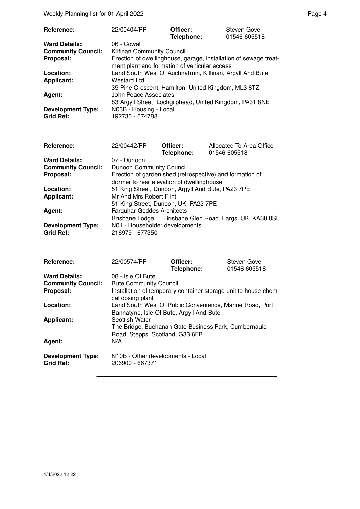Weekly Planning list for 01 April 2022 **Page 4** Page 4

| Reference:                                   | 22/00404/PP                                                                                                                                                                           | Officer:<br>Telephone: | Steven Gove<br>01546 605518 |  |  |
|----------------------------------------------|---------------------------------------------------------------------------------------------------------------------------------------------------------------------------------------|------------------------|-----------------------------|--|--|
| <b>Ward Details:</b>                         | 06 - Cowal                                                                                                                                                                            |                        |                             |  |  |
| <b>Community Council:</b>                    | Kilfinan Community Council                                                                                                                                                            |                        |                             |  |  |
| Proposal:                                    | Erection of dwellinghouse, garage, installation of sewage treat-<br>ment plant and formation of vehicular access                                                                      |                        |                             |  |  |
| Location:                                    | Land South West Of Auchnafruin, Kilfinan, Argyll And Bute                                                                                                                             |                        |                             |  |  |
| <b>Applicant:</b>                            | Westard Ltd                                                                                                                                                                           |                        |                             |  |  |
| Agent:                                       | 35 Pine Crescent, Hamilton, United Kingdom, ML3 8TZ<br>John Peace Associates<br>83 Argyll Street, Lochgilphead, United Kingdom, PA31 8NE<br>N03B - Housing - Local<br>192730 - 674788 |                        |                             |  |  |
| <b>Development Type:</b><br><b>Grid Ref:</b> |                                                                                                                                                                                       |                        |                             |  |  |

| Reference:                                   | 22/00442/PP                                                                                           | Officer:<br>Telephone: | Allocated To Area Office<br>01546 605518 |  |
|----------------------------------------------|-------------------------------------------------------------------------------------------------------|------------------------|------------------------------------------|--|
| <b>Ward Details:</b>                         | 07 - Dunoon                                                                                           |                        |                                          |  |
| <b>Community Council:</b>                    | <b>Dunoon Community Council</b>                                                                       |                        |                                          |  |
| Proposal:                                    | Erection of garden shed (retrospective) and formation of<br>dormer to rear elevation of dwellinghouse |                        |                                          |  |
| Location:                                    | 51 King Street, Dunoon, Argyll And Bute, PA23 7PE                                                     |                        |                                          |  |
| <b>Applicant:</b>                            | Mr And Mrs Robert Flint<br>51 King Street, Dunoon, UK, PA23 7PE                                       |                        |                                          |  |
| Agent:                                       | <b>Farquhar Geddes Architects</b><br>Brisbane Lodge, Brisbane Glen Road, Largs, UK, KA30 8SL          |                        |                                          |  |
| <b>Development Type:</b><br><b>Grid Ref:</b> | N01 - Householder developments<br>216979 - 677350                                                     |                        |                                          |  |

| Reference:                                   | 22/00574/PP                                                                                                      | Officer:<br>Telephone: | Steven Gove<br>01546 605518 |  |
|----------------------------------------------|------------------------------------------------------------------------------------------------------------------|------------------------|-----------------------------|--|
| <b>Ward Details:</b>                         | 08 - Isle Of Bute                                                                                                |                        |                             |  |
| <b>Community Council:</b>                    | <b>Bute Community Council</b>                                                                                    |                        |                             |  |
| Proposal:                                    | Installation of temporary container storage unit to house chemi-<br>cal dosing plant                             |                        |                             |  |
| Location:                                    | Land South West Of Public Convenience, Marine Road, Port<br>Bannatyne, Isle Of Bute, Argyll And Bute             |                        |                             |  |
| <b>Applicant:</b>                            | <b>Scottish Water</b><br>The Bridge, Buchanan Gate Business Park, Cumbernauld<br>Road, Stepps, Scotland, G33 6FB |                        |                             |  |
| Agent:                                       | N/A                                                                                                              |                        |                             |  |
| <b>Development Type:</b><br><b>Grid Ref:</b> | N10B - Other developments - Local<br>206900 - 667371                                                             |                        |                             |  |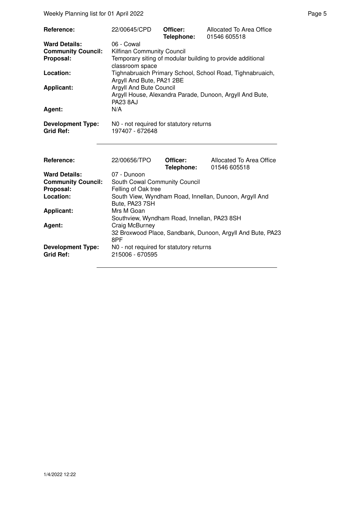| Reference:                                                     | 22/00645/CPD                                                                                                                       | Officer:<br>Telephone: | Allocated To Area Office<br>01546 605518                  |  |  |
|----------------------------------------------------------------|------------------------------------------------------------------------------------------------------------------------------------|------------------------|-----------------------------------------------------------|--|--|
| <b>Ward Details:</b><br><b>Community Council:</b><br>Proposal: | 06 - Cowal<br>Kilfinan Community Council<br>Temporary siting of modular building to provide additional<br>classroom space          |                        |                                                           |  |  |
| Location:                                                      | Argyll And Bute, PA21 2BE                                                                                                          |                        | Tighnabruaich Primary School, School Road, Tighnabruaich, |  |  |
| <b>Applicant:</b>                                              | Argyll And Bute Council<br>Argyll House, Alexandra Parade, Dunoon, Argyll And Bute,<br><b>PA23 8AJ</b>                             |                        |                                                           |  |  |
| Agent:                                                         | N/A                                                                                                                                |                        |                                                           |  |  |
| <b>Development Type:</b><br><b>Grid Ref:</b>                   | N0 - not required for statutory returns<br>197407 - 672648                                                                         |                        |                                                           |  |  |
| Reference:                                                     | 22/00656/TPO                                                                                                                       | Officer:<br>Telephone: | Allocated To Area Office<br>01546 605518                  |  |  |
| <b>Ward Details:</b>                                           | 07 - Dunoon                                                                                                                        |                        |                                                           |  |  |
| <b>Community Council:</b><br>Proposal:                         | South Cowal Community Council<br>Felling of Oak tree                                                                               |                        |                                                           |  |  |
| Location:                                                      | Bute, PA23 7SH                                                                                                                     |                        | South View, Wyndham Road, Innellan, Dunoon, Argyll And    |  |  |
| <b>Applicant:</b>                                              | Mrs M Goan                                                                                                                         |                        |                                                           |  |  |
| Agent:                                                         | Southview, Wyndham Road, Innellan, PA23 8SH<br>Craig McBurney<br>32 Broxwood Place, Sandbank, Dunoon, Argyll And Bute, PA23<br>8PF |                        |                                                           |  |  |
| <b>Development Type:</b><br><b>Grid Ref:</b>                   | N0 - not required for statutory returns<br>215006 - 670595                                                                         |                        |                                                           |  |  |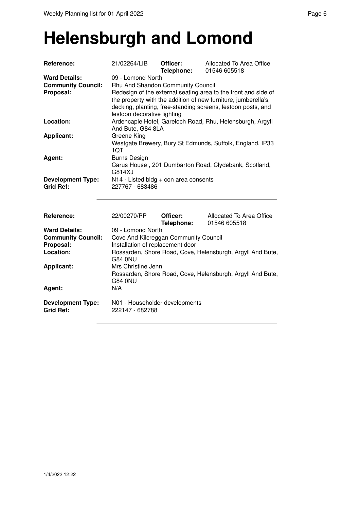#### **Helensburgh and Lomond**

| Reference:                                   | 21/02264/LIB                                                                                                                                                                                                                    | Officer:<br>Telephone: | Allocated To Area Office<br>01546 605518 |  |  |
|----------------------------------------------|---------------------------------------------------------------------------------------------------------------------------------------------------------------------------------------------------------------------------------|------------------------|------------------------------------------|--|--|
| <b>Ward Details:</b>                         | 09 - Lomond North                                                                                                                                                                                                               |                        |                                          |  |  |
| <b>Community Council:</b>                    | Rhu And Shandon Community Council                                                                                                                                                                                               |                        |                                          |  |  |
| Proposal:                                    | Redesign of the external seating area to the front and side of<br>the property with the addition of new furniture, jumberella's,<br>decking, planting, free-standing screens, festoon posts, and<br>festoon decorative lighting |                        |                                          |  |  |
| Location:                                    | Ardencaple Hotel, Gareloch Road, Rhu, Helensburgh, Argyll<br>And Bute, G84 8LA                                                                                                                                                  |                        |                                          |  |  |
| <b>Applicant:</b>                            | Greene King<br>Westgate Brewery, Bury St Edmunds, Suffolk, England, IP33<br>1QT                                                                                                                                                 |                        |                                          |  |  |
| Agent:                                       | <b>Burns Design</b><br>Carus House, 201 Dumbarton Road, Clydebank, Scotland,<br>G814XJ                                                                                                                                          |                        |                                          |  |  |
| <b>Development Type:</b><br><b>Grid Ref:</b> | N14 - Listed bldg + con area consents<br>227767 - 683486                                                                                                                                                                        |                        |                                          |  |  |
| Reference:                                   | 22/00270/PP                                                                                                                                                                                                                     | Officer:<br>Telephone: | Allocated To Area Office<br>01546 605518 |  |  |
| <b>Ward Details:</b>                         | 09 - Lomond North                                                                                                                                                                                                               |                        |                                          |  |  |
| <b>Community Council:</b>                    | Cove And Kilcreggan Community Council                                                                                                                                                                                           |                        |                                          |  |  |
| Proposal:                                    | Installation of replacement door                                                                                                                                                                                                |                        |                                          |  |  |
| Location:                                    | Rossarden, Shore Road, Cove, Helensburgh, Argyll And Bute,<br><b>G84 0NU</b>                                                                                                                                                    |                        |                                          |  |  |
| <b>Applicant:</b>                            | Mrs Christine Jenn<br>Rossarden, Shore Road, Cove, Helensburgh, Argyll And Bute,<br><b>G84 0NU</b>                                                                                                                              |                        |                                          |  |  |
| Agent:                                       | N/A                                                                                                                                                                                                                             |                        |                                          |  |  |
| <b>Development Type:</b><br><b>Grid Ref:</b> | N01 - Householder developments<br>222147 - 682788                                                                                                                                                                               |                        |                                          |  |  |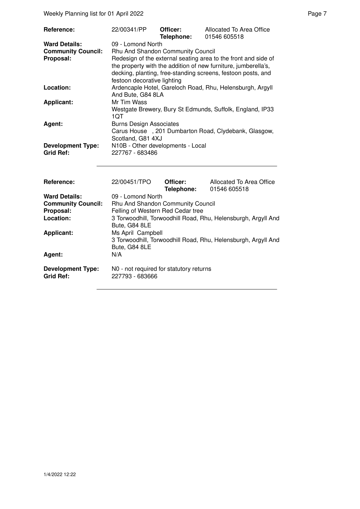Weekly Planning list for 01 April 2022 **Page 7** April 2022 **Page 7** April 2022 **Page 7** April 2022 **Page 7** April 2022 **Page 7** April 2022 **Page 7** April 2022 **Page 7** April 2022 **Page 7** April 2022 **Page 7** April 2022 **Pa** 

| <b>Reference:</b>         | 22/00341/PP                                                                    | Officer:<br>Telephone:                                                                                                                                                                           | Allocated To Area Office<br>01546 605518                  |  |  |
|---------------------------|--------------------------------------------------------------------------------|--------------------------------------------------------------------------------------------------------------------------------------------------------------------------------------------------|-----------------------------------------------------------|--|--|
| <b>Ward Details:</b>      | 09 - Lomond North                                                              |                                                                                                                                                                                                  |                                                           |  |  |
| <b>Community Council:</b> | Rhu And Shandon Community Council                                              |                                                                                                                                                                                                  |                                                           |  |  |
|                           |                                                                                |                                                                                                                                                                                                  |                                                           |  |  |
| Proposal:                 | festoon decorative lighting                                                    | Redesign of the external seating area to the front and side of<br>the property with the addition of new furniture, jumberella's,<br>decking, planting, free-standing screens, festoon posts, and |                                                           |  |  |
| Location:                 |                                                                                |                                                                                                                                                                                                  |                                                           |  |  |
|                           |                                                                                |                                                                                                                                                                                                  | Ardencaple Hotel, Gareloch Road, Rhu, Helensburgh, Argyll |  |  |
|                           | And Bute, G84 8LA                                                              |                                                                                                                                                                                                  |                                                           |  |  |
| <b>Applicant:</b>         | Mr Tim Wass                                                                    |                                                                                                                                                                                                  |                                                           |  |  |
|                           |                                                                                |                                                                                                                                                                                                  | Westgate Brewery, Bury St Edmunds, Suffolk, England, IP33 |  |  |
|                           | 1QT                                                                            |                                                                                                                                                                                                  |                                                           |  |  |
| Agent:                    | <b>Burns Design Associates</b>                                                 |                                                                                                                                                                                                  |                                                           |  |  |
|                           |                                                                                |                                                                                                                                                                                                  | Carus House, 201 Dumbarton Road, Clydebank, Glasgow,      |  |  |
|                           |                                                                                |                                                                                                                                                                                                  |                                                           |  |  |
|                           | Scotland, G81 4XJ                                                              |                                                                                                                                                                                                  |                                                           |  |  |
| <b>Development Type:</b>  | N10B - Other developments - Local                                              |                                                                                                                                                                                                  |                                                           |  |  |
| <b>Grid Ref:</b>          | 227767 - 683486                                                                |                                                                                                                                                                                                  |                                                           |  |  |
|                           |                                                                                |                                                                                                                                                                                                  |                                                           |  |  |
| Reference:                | 22/00451/TPO                                                                   | Officer:                                                                                                                                                                                         | Allocated To Area Office                                  |  |  |
|                           |                                                                                | Telephone:                                                                                                                                                                                       | 01546 605518                                              |  |  |
| <b>Ward Details:</b>      | 09 - Lomond North                                                              |                                                                                                                                                                                                  |                                                           |  |  |
| <b>Community Council:</b> |                                                                                |                                                                                                                                                                                                  |                                                           |  |  |
| Proposal:                 | Rhu And Shandon Community Council<br>Felling of Western Red Cedar tree         |                                                                                                                                                                                                  |                                                           |  |  |
|                           |                                                                                |                                                                                                                                                                                                  |                                                           |  |  |
| Location:                 | 3 Torwoodhill, Torwoodhill Road, Rhu, Helensburgh, Argyll And<br>Bute, G84 8LE |                                                                                                                                                                                                  |                                                           |  |  |
| <b>Applicant:</b>         | Ms April Campbell                                                              |                                                                                                                                                                                                  |                                                           |  |  |

**N0 - not required for statutory returns 227793 - 683666** 

Bute, G84 8LE

3 Torwoodhill, Torwoodhill Road, Rhu, Helensburgh, Argyll And

Agent:

**Development Type:**<br>Grid Ref: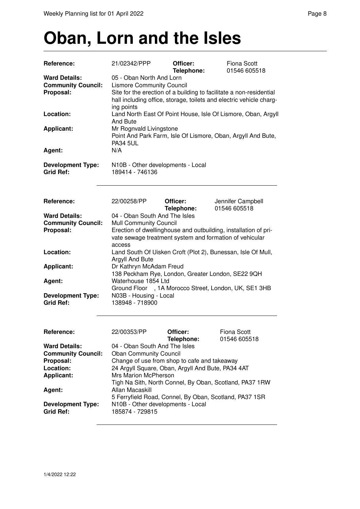# **Oban, Lorn and the Isles**

| Reference:                                                                                       | 21/02342/PPP                                                                                                                                                                                                                                                                                                                                                                                       | Officer:<br>Telephone: | <b>Fiona Scott</b><br>01546 605518                            |  |  |  |
|--------------------------------------------------------------------------------------------------|----------------------------------------------------------------------------------------------------------------------------------------------------------------------------------------------------------------------------------------------------------------------------------------------------------------------------------------------------------------------------------------------------|------------------------|---------------------------------------------------------------|--|--|--|
| <b>Ward Details:</b><br><b>Community Council:</b><br>Proposal:                                   | 05 - Oban North And Lorn<br><b>Lismore Community Council</b><br>Site for the erection of a building to facilitate a non-residential<br>hall including office, storage, toilets and electric vehicle charg-<br>ing points                                                                                                                                                                           |                        |                                                               |  |  |  |
| Location:                                                                                        | And Bute                                                                                                                                                                                                                                                                                                                                                                                           |                        | Land North East Of Point House, Isle Of Lismore, Oban, Argyll |  |  |  |
| <b>Applicant:</b>                                                                                | Mr Rognvald Livingstone<br>Point And Park Farm, Isle Of Lismore, Oban, Argyll And Bute,<br><b>PA34 5UL</b>                                                                                                                                                                                                                                                                                         |                        |                                                               |  |  |  |
| Agent:                                                                                           | N/A                                                                                                                                                                                                                                                                                                                                                                                                |                        |                                                               |  |  |  |
| <b>Development Type:</b><br><b>Grid Ref:</b>                                                     | N10B - Other developments - Local<br>189414 - 746136                                                                                                                                                                                                                                                                                                                                               |                        |                                                               |  |  |  |
| Reference:                                                                                       | 22/00258/PP                                                                                                                                                                                                                                                                                                                                                                                        | Officer:<br>Telephone: | Jennifer Campbell<br>01546 605518                             |  |  |  |
| <b>Ward Details:</b><br><b>Community Council:</b><br>Proposal:                                   | 04 - Oban South And The Isles<br><b>Mull Community Council</b><br>Erection of dwellinghouse and outbuilding, installation of pri-<br>vate sewage treatment system and formation of vehicular<br>access                                                                                                                                                                                             |                        |                                                               |  |  |  |
| Location:                                                                                        | Argyll And Bute                                                                                                                                                                                                                                                                                                                                                                                    |                        | Land South Of Uisken Croft (Plot 2), Bunessan, Isle Of Mull,  |  |  |  |
| <b>Applicant:</b>                                                                                | Dr Kathryn McAdam Freud<br>138 Peckham Rye, London, Greater London, SE22 9QH                                                                                                                                                                                                                                                                                                                       |                        |                                                               |  |  |  |
| Agent:                                                                                           | Waterhouse 1854 Ltd                                                                                                                                                                                                                                                                                                                                                                                |                        | Ground Floor , 1A Morocco Street, London, UK, SE1 3HB         |  |  |  |
| <b>Development Type:</b><br><b>Grid Ref:</b>                                                     | N03B - Housing - Local<br>138948 - 718900                                                                                                                                                                                                                                                                                                                                                          |                        |                                                               |  |  |  |
| <b>Reference:</b>                                                                                | 22/00353/PP                                                                                                                                                                                                                                                                                                                                                                                        | Officer:<br>Telephone: | <b>Fiona Scott</b><br>01546 605518                            |  |  |  |
| <b>Ward Details:</b><br><b>Community Council:</b><br>Proposal:<br>Location:<br><b>Applicant:</b> | 04 - Oban South And The Isles<br><b>Oban Community Council</b><br>Change of use from shop to cafe and takeaway<br>24 Argyll Square, Oban, Argyll And Bute, PA34 4AT<br><b>Mrs Marion McPherson</b><br>Tigh Na Sith, North Connel, By Oban, Scotland, PA37 1RW<br>Allan Macaskill<br>5 Ferryfield Road, Connel, By Oban, Scotland, PA37 1SR<br>N10B - Other developments - Local<br>185874 - 729815 |                        |                                                               |  |  |  |
| Agent:                                                                                           |                                                                                                                                                                                                                                                                                                                                                                                                    |                        |                                                               |  |  |  |
| <b>Development Type:</b><br><b>Grid Ref:</b>                                                     |                                                                                                                                                                                                                                                                                                                                                                                                    |                        |                                                               |  |  |  |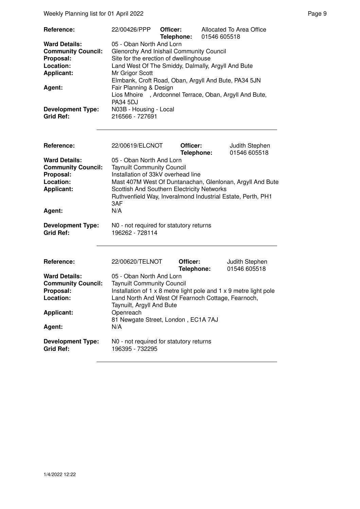Weekly Planning list for 01 April 2022 **Page 9** Page 9

| Reference:                                                                                       | 22/00426/PPP                                                                                                                                                                                                                                    | Officer:<br>Telephone: | 01546 605518 | Allocated To Area Office       |  |
|--------------------------------------------------------------------------------------------------|-------------------------------------------------------------------------------------------------------------------------------------------------------------------------------------------------------------------------------------------------|------------------------|--------------|--------------------------------|--|
| <b>Ward Details:</b><br><b>Community Council:</b><br>Proposal:<br>Location:<br><b>Applicant:</b> | 05 - Oban North And Lorn<br>Glenorchy And Inishail Community Council<br>Site for the erection of dwellinghouse<br>Land West Of The Smiddy, Dalmally, Argyll And Bute<br>Mr Grigor Scott<br>Elmbank, Croft Road, Oban, Argyll And Bute, PA34 5JN |                        |              |                                |  |
| Agent:                                                                                           | Fair Planning & Design<br>, Ardconnel Terrace, Oban, Argyll And Bute,<br>Lios Mhoire<br><b>PA34 5DJ</b>                                                                                                                                         |                        |              |                                |  |
| <b>Development Type:</b><br><b>Grid Ref:</b>                                                     | N03B - Housing - Local<br>216566 - 727691                                                                                                                                                                                                       |                        |              |                                |  |
| Reference:                                                                                       | 22/00619/ELCNOT                                                                                                                                                                                                                                 | Officer:<br>Telephone: |              | Judith Stephen<br>01546 605518 |  |
| <b>Ward Details:</b><br><b>Community Council:</b>                                                | 05 - Oban North And Lorn<br><b>Taynuilt Community Council</b>                                                                                                                                                                                   |                        |              |                                |  |
| Proposal:<br>Location:<br><b>Applicant:</b>                                                      | Installation of 33kV overhead line<br>Mast 407M West Of Duntanachan, Glenlonan, Argyll And Bute<br>Scottish And Southern Electricity Networks<br>Ruthvenfield Way, Inveralmond Industrial Estate, Perth, PH1                                    |                        |              |                                |  |
| Agent:                                                                                           | 3AF<br>N/A                                                                                                                                                                                                                                      |                        |              |                                |  |
| <b>Development Type:</b><br><b>Grid Ref:</b>                                                     | N0 - not required for statutory returns<br>196262 - 728114                                                                                                                                                                                      |                        |              |                                |  |
| Reference:                                                                                       | 22/00620/TELNOT                                                                                                                                                                                                                                 | Officer:<br>Telephone: |              | Judith Stephen<br>01546 605518 |  |
| <b>Ward Details:</b><br><b>Community Council:</b>                                                | 05 - Oban North And Lorn                                                                                                                                                                                                                        |                        |              |                                |  |
| Proposal:<br>Location:                                                                           | <b>Taynuilt Community Council</b><br>Installation of $1 \times 8$ metre light pole and $1 \times 9$ metre light pole<br>Land North And West Of Fearnoch Cottage, Fearnoch,                                                                      |                        |              |                                |  |

Taynuilt, Argyll And Bute

**Development Type:** N0 - not required for statutory returns<br>Grid Ref: 196395 - 732295 **Grid Ref:** 196395 - 732295

81 Newgate Street, London, EC1A 7AJ<br>N/A

Applicant: Openreach

Agent: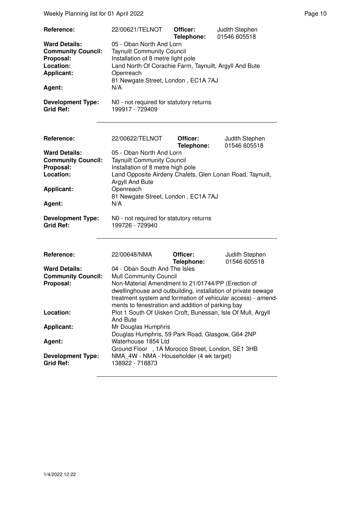| Reference:                                                                                                                                                 | 22/00621/TELNOT                                                                                                                                                                                                                                                                                                      | Officer:               | Judith Stephen                 |
|------------------------------------------------------------------------------------------------------------------------------------------------------------|----------------------------------------------------------------------------------------------------------------------------------------------------------------------------------------------------------------------------------------------------------------------------------------------------------------------|------------------------|--------------------------------|
| <b>Ward Details:</b><br><b>Community Council:</b><br>Proposal:<br>Location:<br><b>Applicant:</b><br>Agent:<br><b>Development Type:</b><br><b>Grid Ref:</b> | Telephone:<br>01546 605518<br>05 - Oban North And Lorn<br><b>Taynuilt Community Council</b><br>Installation of 8 metre light pole<br>Land North Of Corachie Farm, Taynuilt, Argyll And Bute<br>Openreach<br>81 Newgate Street, London, EC1A 7AJ<br>N/A<br>N0 - not required for statutory returns<br>199917 - 729409 |                        |                                |
|                                                                                                                                                            |                                                                                                                                                                                                                                                                                                                      |                        |                                |
| Reference:                                                                                                                                                 | 22/00622/TELNOT                                                                                                                                                                                                                                                                                                      | Officer:<br>Telephone: | Judith Stephen<br>01546 605518 |
| <b>Ward Details:</b><br><b>Community Council:</b><br>Proposal:<br>Location:                                                                                | 05 - Oban North And Lorn<br><b>Taynuilt Community Council</b><br>Installation of 8 metre high pole<br>Land Opposite Airdeny Chalets, Glen Lonan Road, Taynuilt,<br>Argyll And Bute<br>Openreach<br>81 Newgate Street, London, EC1A 7AJ                                                                               |                        |                                |
| <b>Applicant:</b>                                                                                                                                          |                                                                                                                                                                                                                                                                                                                      |                        |                                |
| Agent:                                                                                                                                                     | N/A                                                                                                                                                                                                                                                                                                                  |                        |                                |
| <b>Development Type:</b><br><b>Grid Ref:</b>                                                                                                               | N0 - not required for statutory returns<br>199726 - 729940                                                                                                                                                                                                                                                           |                        |                                |
| Reference:                                                                                                                                                 | 22/00648/NMA                                                                                                                                                                                                                                                                                                         | Officer:<br>Telephone: | Judith Stephen<br>01546 605518 |
| <b>Ward Details:</b><br><b>Community Council:</b><br>Proposal:                                                                                             | 04 - Oban South And The Isles<br><b>Mull Community Council</b><br>Non-Material Amendment to 21/01744/PP (Erection of<br>dwellinghouse and outbuilding, installation of private sewage<br>treatment system and formation of vehicular access) - amend-<br>ments to fenestration and addition of parking bay           |                        |                                |
| Location:                                                                                                                                                  | Plot 1 South Of Uisken Croft, Bunessan, Isle Of Mull, Argyll<br>And Bute                                                                                                                                                                                                                                             |                        |                                |
| <b>Applicant:</b>                                                                                                                                          | Mr Douglas Humphris<br>Douglas Humphris, 59 Park Road, Glasgow, G64 2NP                                                                                                                                                                                                                                              |                        |                                |
| Agent:                                                                                                                                                     | Waterhouse 1854 Ltd                                                                                                                                                                                                                                                                                                  |                        |                                |
| <b>Development Type:</b><br><b>Grid Ref:</b>                                                                                                               | Ground Floor , 1A Morocco Street, London, SE1 3HB<br>NMA 4W - NMA - Householder (4 wk target)<br>138922 - 718873                                                                                                                                                                                                     |                        |                                |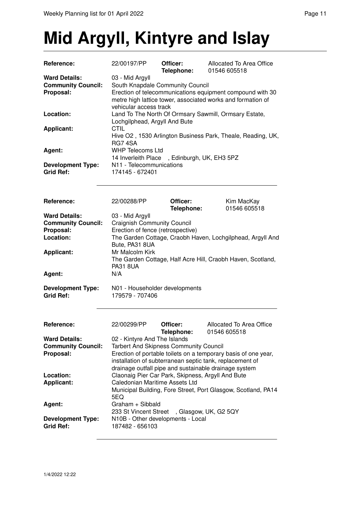## **Mid Argyll, Kintyre and Islay**

| Reference:                | 22/00197/PP                                                                         | Officer:<br>Telephone:                                      | Allocated To Area Office<br>01546 605518                       |  |
|---------------------------|-------------------------------------------------------------------------------------|-------------------------------------------------------------|----------------------------------------------------------------|--|
| <b>Ward Details:</b>      | 03 - Mid Argyll                                                                     |                                                             |                                                                |  |
| <b>Community Council:</b> | South Knapdale Community Council                                                    |                                                             |                                                                |  |
| Proposal:                 |                                                                                     |                                                             | Erection of telecommunications equipment compound with 30      |  |
|                           |                                                                                     |                                                             | metre high lattice tower, associated works and formation of    |  |
|                           | vehicular access track                                                              |                                                             |                                                                |  |
| Location:                 |                                                                                     |                                                             | Land To The North Of Ormsary Sawmill, Ormsary Estate,          |  |
|                           |                                                                                     |                                                             |                                                                |  |
|                           | Lochgilphead, Argyll And Bute<br><b>CTIL</b>                                        |                                                             |                                                                |  |
| <b>Applicant:</b>         |                                                                                     |                                                             |                                                                |  |
|                           |                                                                                     | Hive O2, 1530 Arlington Business Park, Theale, Reading, UK, |                                                                |  |
|                           | <b>RG7 4SA</b>                                                                      |                                                             |                                                                |  |
| Agent:                    | <b>WHP Telecoms Ltd</b>                                                             |                                                             |                                                                |  |
|                           | 14 Inverleith Place, Edinburgh, UK, EH3 5PZ                                         |                                                             |                                                                |  |
| <b>Development Type:</b>  | N11 - Telecommunications                                                            |                                                             |                                                                |  |
| <b>Grid Ref:</b>          | 174145 - 672401                                                                     |                                                             |                                                                |  |
|                           |                                                                                     |                                                             |                                                                |  |
|                           |                                                                                     |                                                             |                                                                |  |
| Reference:                | 22/00288/PP                                                                         | Officer:                                                    | Kim MacKay                                                     |  |
|                           |                                                                                     | Telephone:                                                  | 01546 605518                                                   |  |
| <b>Ward Details:</b>      | 03 - Mid Argyll                                                                     |                                                             |                                                                |  |
| <b>Community Council:</b> | <b>Craignish Community Council</b>                                                  |                                                             |                                                                |  |
| Proposal:                 | Erection of fence (retrospective)                                                   |                                                             |                                                                |  |
| Location:                 |                                                                                     |                                                             | The Garden Cottage, Craobh Haven, Lochgilphead, Argyll And     |  |
|                           | Bute, PA31 8UA                                                                      |                                                             |                                                                |  |
| <b>Applicant:</b>         | Mr Malcolm Kirk                                                                     |                                                             |                                                                |  |
|                           |                                                                                     |                                                             | The Garden Cottage, Half Acre Hill, Craobh Haven, Scotland,    |  |
|                           | <b>PA31 8UA</b>                                                                     |                                                             |                                                                |  |
| Agent:                    | N/A                                                                                 |                                                             |                                                                |  |
|                           |                                                                                     |                                                             |                                                                |  |
| <b>Development Type:</b>  | N01 - Householder developments                                                      |                                                             |                                                                |  |
| <b>Grid Ref:</b>          | 179579 - 707406                                                                     |                                                             |                                                                |  |
|                           |                                                                                     |                                                             |                                                                |  |
|                           |                                                                                     |                                                             |                                                                |  |
| Reference:                | 22/00299/PP                                                                         | Officer:                                                    | <b>Allocated To Area Office</b>                                |  |
|                           |                                                                                     | Telephone:                                                  | 01546 605518                                                   |  |
| <b>Ward Details:</b>      | 02 - Kintyre And The Islands                                                        |                                                             |                                                                |  |
| <b>Community Council:</b> | <b>Tarbert And Skipness Community Council</b>                                       |                                                             |                                                                |  |
| Proposal:                 |                                                                                     |                                                             | Erection of portable toilets on a temporary basis of one year, |  |
|                           |                                                                                     |                                                             | installation of subterranean septic tank, replacement of       |  |
|                           |                                                                                     |                                                             | drainage outfall pipe and sustainable drainage system          |  |
| Location:                 |                                                                                     |                                                             |                                                                |  |
|                           | Claonaig Pier Car Park, Skipness, Argyll And Bute<br>Caledonian Maritime Assets Ltd |                                                             |                                                                |  |
| <b>Applicant:</b>         |                                                                                     |                                                             |                                                                |  |
|                           |                                                                                     |                                                             | Municipal Building, Fore Street, Port Glasgow, Scotland, PA14  |  |
|                           | 5EQ                                                                                 |                                                             |                                                                |  |
| Agent:                    | Graham + Sibbald                                                                    |                                                             |                                                                |  |
|                           | 233 St Vincent Street, Glasgow, UK, G2 5QY                                          |                                                             |                                                                |  |
| <b>Development Type:</b>  | N10B - Other developments - Local                                                   |                                                             |                                                                |  |
| <b>Grid Ref:</b>          | 187482 - 656103                                                                     |                                                             |                                                                |  |
|                           |                                                                                     |                                                             |                                                                |  |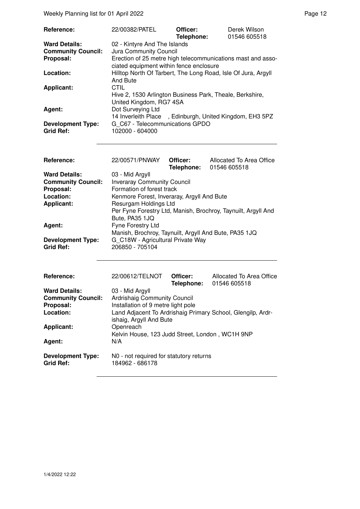| Reference:                | 22/00382/PATEL                                                | Officer:   | Derek Wilson |
|---------------------------|---------------------------------------------------------------|------------|--------------|
|                           |                                                               | Telephone: | 01546 605518 |
| <b>Ward Details:</b>      | 02 - Kintyre And The Islands                                  |            |              |
| <b>Community Council:</b> | Jura Community Council                                        |            |              |
| Proposal:                 | Erection of 25 metre high telecommunications mast and asso-   |            |              |
|                           | ciated equipment within fence enclosure                       |            |              |
| Location:                 | Hilltop North Of Tarbert, The Long Road, Isle Of Jura, Argyll |            |              |
|                           | And Bute                                                      |            |              |
| <b>Applicant:</b>         | CTIL                                                          |            |              |
|                           | Hive 2, 1530 Arlington Business Park, Theale, Berkshire,      |            |              |
|                           | United Kingdom, RG7 4SA                                       |            |              |
| Agent:                    | Dot Surveying Ltd                                             |            |              |
|                           | 14 Inverleith Place , Edinburgh, United Kingdom, EH3 5PZ      |            |              |
| <b>Development Type:</b>  | G C67 - Telecommunications GPDO                               |            |              |
| <b>Grid Ref:</b>          | 102000 - 604000                                               |            |              |

| <b>Reference:</b>         | 22/00571/PNWAY                                                | Officer:   | Allocated To Area Office |
|---------------------------|---------------------------------------------------------------|------------|--------------------------|
|                           |                                                               | Telephone: | 01546 605518             |
| <b>Ward Details:</b>      | 03 - Mid Argyll                                               |            |                          |
| <b>Community Council:</b> | <b>Inveraray Community Council</b>                            |            |                          |
| Proposal:                 | Formation of forest track                                     |            |                          |
| Location:                 | Kenmore Forest, Inveraray, Argyll And Bute                    |            |                          |
| <b>Applicant:</b>         | Resurgam Holdings Ltd                                         |            |                          |
|                           | Per Fyne Forestry Ltd, Manish, Brochroy, Taynuilt, Argyll And |            |                          |
|                           | Bute, PA35 1JQ                                                |            |                          |
| Agent:                    | Fyne Forestry Ltd                                             |            |                          |
|                           | Manish, Brochroy, Taynuilt, Argyll And Bute, PA35 1JQ         |            |                          |
| <b>Development Type:</b>  | G C18W - Agricultural Private Way                             |            |                          |
| <b>Grid Ref:</b>          | 206850 - 705104                                               |            |                          |

| Reference:                                   | 22/00612/TELNOT                                            | Officer:<br>Telephone: | Allocated To Area Office<br>01546 605518                    |
|----------------------------------------------|------------------------------------------------------------|------------------------|-------------------------------------------------------------|
| <b>Ward Details:</b>                         | 03 - Mid Argyll                                            |                        |                                                             |
| <b>Community Council:</b>                    | Ardrishaig Community Council                               |                        |                                                             |
| Proposal:                                    | Installation of 9 metre light pole                         |                        |                                                             |
| Location:                                    | ishaig, Argyll And Bute                                    |                        | Land Adjacent To Ardrishaig Primary School, Glengilp, Ardr- |
| <b>Applicant:</b>                            | Openreach                                                  |                        |                                                             |
| Agent:                                       | Kelvin House, 123 Judd Street, London, WC1H 9NP<br>N/A     |                        |                                                             |
| <b>Development Type:</b><br><b>Grid Ref:</b> | N0 - not required for statutory returns<br>184962 - 686178 |                        |                                                             |